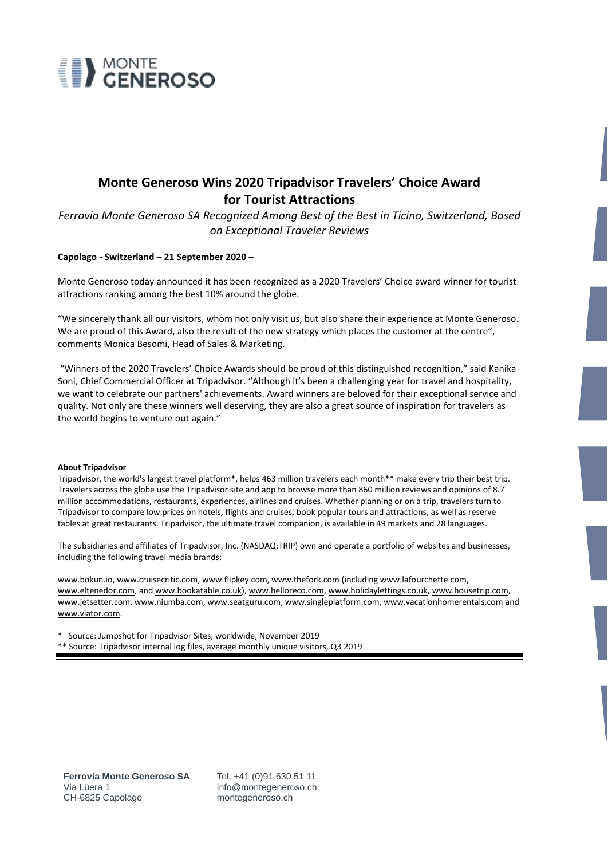

## **Monte Generoso Wins 2020 Tripadvisor Travelers' Choice Award for Tourist Attractions**

*Ferrovia Monte Generoso SA Recognized Among Best of the Best in Ticino, Switzerland, Based on Exceptional Traveler Reviews* 

## **Capolago - Switzerland – 21 September 2020 –**

Monte Generoso today announced it has been recognized as a 2020 Travelers' Choice award winner for tourist attractions ranking among the best 10% around the globe.

"We sincerely thank all our visitors, whom not only visit us, but also share their experience at Monte Generoso. We are proud of this Award, also the result of the new strategy which places the customer at the centre", comments Monica Besomi, Head of Sales & Marketing.

"Winners of the 2020 Travelers' Choice Awards should be proud of this distinguished recognition," said Kanika Soni, Chief Commercial Officer at Tripadvisor. "Although it's been a challenging year for travel and hospitality, we want to celebrate our partners' achievements. Award winners are beloved for their exceptional service and quality. Not only are these winners well deserving, they are also a great source of inspiration for travelers as the world begins to venture out again."

## **About Tripadvisor**

Tripadvisor, the world's largest travel platform\*, helps 463 million travelers each month\*\* make every trip their best trip. Travelers across the globe use the Tripadvisor site and app to browse more than 860 million reviews and opinions of 8.7 million accommodations, restaurants, experiences, airlines and cruises. Whether planning or on a trip, travelers turn to Tripadvisor to compare low prices on hotels, flights and cruises, book popular tours and attractions, as well as reserve tables at great restaurants. Tripadvisor, the ultimate travel companion, is available in 49 markets and 28 languages.

The subsidiaries and affiliates of Tripadvisor, Inc. (NASDAQ:TRIP) own and operate a portfolio of websites and businesses, including the following travel media brands:

[www.bokun.io,](http://www.bokun.io/) [www.cruisecritic.com,](http://www.cruisecritic.com/) [www.flipkey.com,](http://www.flipkey.com/) [www.thefork.com](http://www.thefork.com/) (includin[g www.lafourchette.com,](http://www.lafourchette.com/)  [www.eltenedor.com,](http://www.eltenedor.com/) an[d www.bookatable.co.uk\)](https://www.bookatable.co.uk/), [www.helloreco.com,](https://www.helloreco.com/) [www.holidaylettings.co.uk,](http://www.holidaylettings.co.uk/) [www.housetrip.com,](http://www.housetrip.com/)  [www.jetsetter.com,](http://www.jetsetter.com/) [www.niumba.com,](http://www.niumba.com/) [www.seatguru.com,](http://www.seatguru.com/) [www.singleplatform.com,](https://www.singleplatform.com/) [www.vacationhomerentals.com](http://www.vacationhomerentals.com/) and [www.viator.com.](http://www.viator.com/)

\* Source: Jumpshot for Tripadvisor Sites, worldwide, November 2019

\*\* Source: Tripadvisor internal log files, average monthly unique visitors, Q3 2019